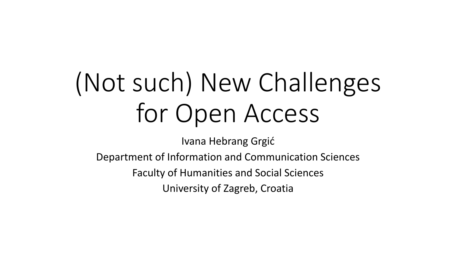## (Not such) New Challenges for Open Access

Ivana Hebrang Grgić

Department of Information and Communication Sciences

Faculty of Humanities and Social Sciences

University of Zagreb, Croatia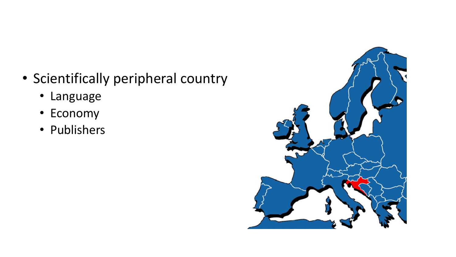- Scientifically peripheral country
	- Language
	- Economy
	- Publishers

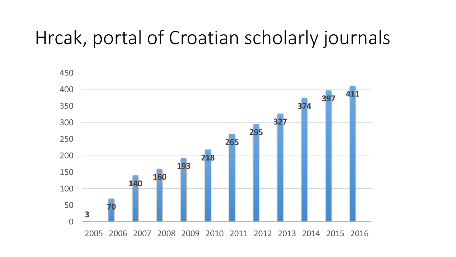### Hrcak, portal of Croatian scholarly journals

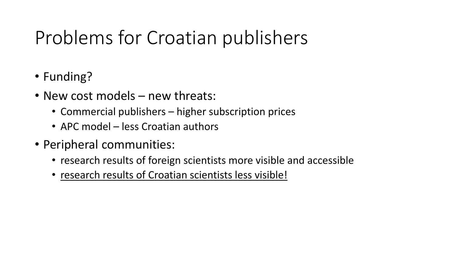## Problems for Croatian publishers

- Funding?
- New cost models new threats:
	- Commercial publishers higher subscription prices
	- APC model less Croatian authors
- Peripheral communities:
	- research results of foreign scientists more visible and accessible
	- research results of Croatian scientists less visible!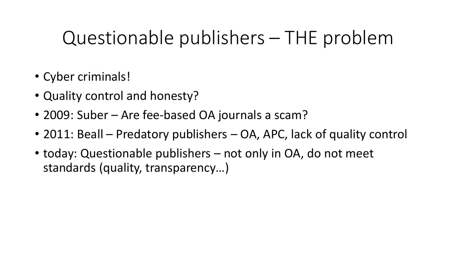#### Questionable publishers – THE problem

- Cyber criminals!
- Quality control and honesty?
- 2009: Suber Are fee-based OA journals a scam?
- 2011: Beall Predatory publishers OA, APC, lack of quality control
- today: Questionable publishers not only in OA, do not meet standards (quality, transparency…)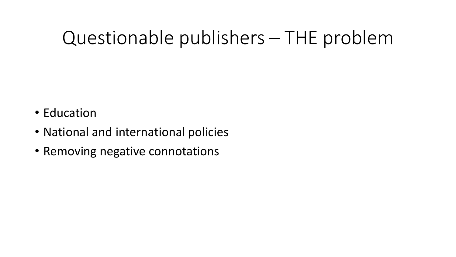#### Questionable publishers – THE problem

- Education
- National and international policies
- Removing negative connotations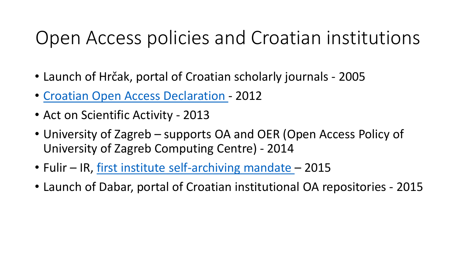#### Open Access policies and Croatian institutions

- Launch of Hrčak, portal of Croatian scholarly journals 2005
- [Croatian Open Access Declaration -](http://www.fer.unizg.hr/oa2012/declaration) 2012
- Act on Scientific Activity 2013
- University of Zagreb supports OA and OER (Open Access Policy of University of Zagreb Computing Centre) - 2014
- Fulir IR, [first institute self-archiving mandate](http://lib.irb.hr/web/hr/projekti/fulir/item/1897-rudjer_boskovic_institute-self_archiving_mandate.html)  2015
- Launch of Dabar, portal of Croatian institutional OA repositories 2015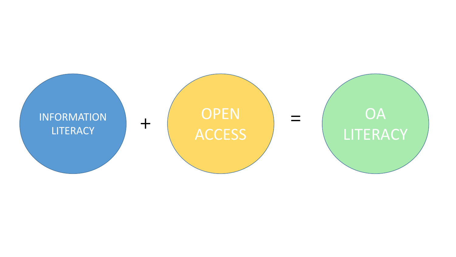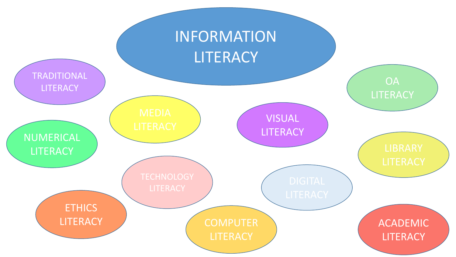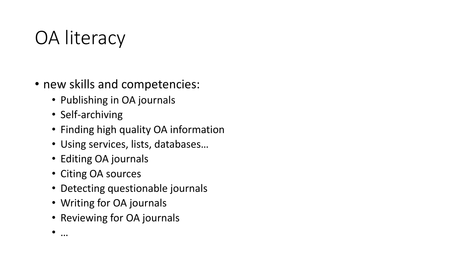## OA literacy

- new skills and competencies:
	- Publishing in OA journals
	- Self-archiving
	- Finding high quality OA information
	- Using services, lists, databases…
	- Editing OA journals
	- Citing OA sources
	- Detecting questionable journals
	- Writing for OA journals
	- Reviewing for OA journals

• …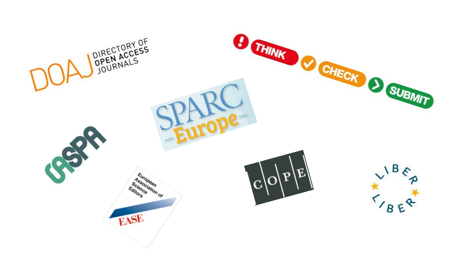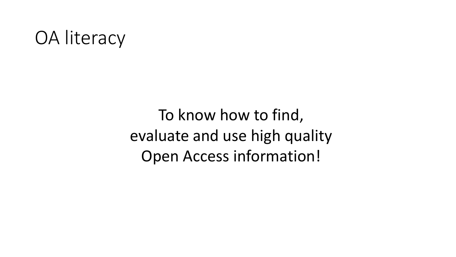#### OA literacy

To know how to find, evaluate and use high quality Open Access information!